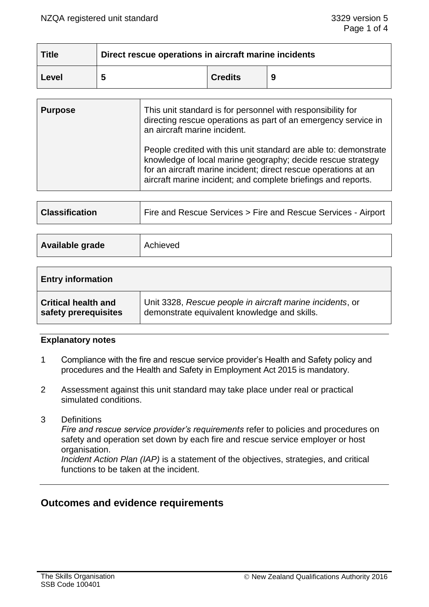| <b>Title</b> | Direct rescue operations in aircraft marine incidents |                |   |
|--------------|-------------------------------------------------------|----------------|---|
| Level        |                                                       | <b>Credits</b> | 9 |

| <b>Purpose</b> | This unit standard is for personnel with responsibility for<br>directing rescue operations as part of an emergency service in<br>an aircraft marine incident.                                                                                                       |  |
|----------------|---------------------------------------------------------------------------------------------------------------------------------------------------------------------------------------------------------------------------------------------------------------------|--|
|                | People credited with this unit standard are able to: demonstrate<br>knowledge of local marine geography; decide rescue strategy<br>for an aircraft marine incident; direct rescue operations at an<br>aircraft marine incident; and complete briefings and reports. |  |

| <b>Classification</b> | Fire and Rescue Services > Fire and Rescue Services - Airport |
|-----------------------|---------------------------------------------------------------|
|                       |                                                               |

| <b>Available grade</b><br>Achieved |
|------------------------------------|
|------------------------------------|

| <b>Entry information</b>   |                                                           |  |  |
|----------------------------|-----------------------------------------------------------|--|--|
| <b>Critical health and</b> | Unit 3328, Rescue people in aircraft marine incidents, or |  |  |
| safety prerequisites       | demonstrate equivalent knowledge and skills.              |  |  |

## **Explanatory notes**

- 1 Compliance with the fire and rescue service provider's Health and Safety policy and procedures and the Health and Safety in Employment Act 2015 is mandatory.
- 2 Assessment against this unit standard may take place under real or practical simulated conditions.
- 3 Definitions

*Fire and rescue service provider's requirements* refer to policies and procedures on safety and operation set down by each fire and rescue service employer or host organisation.

*Incident Action Plan (IAP)* is a statement of the objectives, strategies, and critical functions to be taken at the incident.

# **Outcomes and evidence requirements**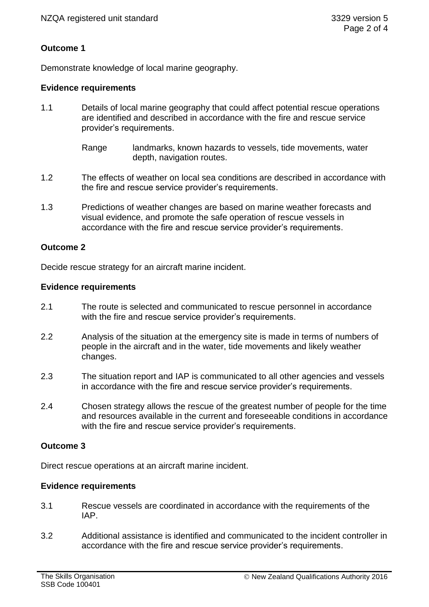## **Outcome 1**

Demonstrate knowledge of local marine geography.

## **Evidence requirements**

- 1.1 Details of local marine geography that could affect potential rescue operations are identified and described in accordance with the fire and rescue service provider's requirements.
	- Range landmarks, known hazards to vessels, tide movements, water depth, navigation routes.
- 1.2 The effects of weather on local sea conditions are described in accordance with the fire and rescue service provider's requirements.
- 1.3 Predictions of weather changes are based on marine weather forecasts and visual evidence, and promote the safe operation of rescue vessels in accordance with the fire and rescue service provider's requirements.

## **Outcome 2**

Decide rescue strategy for an aircraft marine incident.

## **Evidence requirements**

- 2.1 The route is selected and communicated to rescue personnel in accordance with the fire and rescue service provider's requirements.
- 2.2 Analysis of the situation at the emergency site is made in terms of numbers of people in the aircraft and in the water, tide movements and likely weather changes.
- 2.3 The situation report and IAP is communicated to all other agencies and vessels in accordance with the fire and rescue service provider's requirements.
- 2.4 Chosen strategy allows the rescue of the greatest number of people for the time and resources available in the current and foreseeable conditions in accordance with the fire and rescue service provider's requirements.

## **Outcome 3**

Direct rescue operations at an aircraft marine incident.

## **Evidence requirements**

- 3.1 Rescue vessels are coordinated in accordance with the requirements of the IAP.
- 3.2 Additional assistance is identified and communicated to the incident controller in accordance with the fire and rescue service provider's requirements.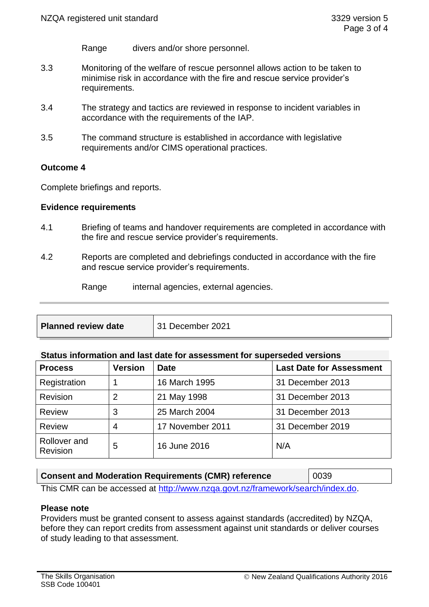- Range divers and/or shore personnel.
- 3.3 Monitoring of the welfare of rescue personnel allows action to be taken to minimise risk in accordance with the fire and rescue service provider's requirements.
- 3.4 The strategy and tactics are reviewed in response to incident variables in accordance with the requirements of the IAP.
- 3.5 The command structure is established in accordance with legislative requirements and/or CIMS operational practices.

#### **Outcome 4**

Complete briefings and reports.

#### **Evidence requirements**

- 4.1 Briefing of teams and handover requirements are completed in accordance with the fire and rescue service provider's requirements.
- 4.2 Reports are completed and debriefings conducted in accordance with the fire and rescue service provider's requirements.

Range internal agencies, external agencies.

| <b>Planned review date</b> | $\vert$ 31 December 2021 |
|----------------------------|--------------------------|
|                            |                          |

#### **Status information and last date for assessment for superseded versions**

| <b>Process</b>           | <b>Version</b> | <b>Date</b>      | <b>Last Date for Assessment</b> |
|--------------------------|----------------|------------------|---------------------------------|
| Registration             |                | 16 March 1995    | 31 December 2013                |
| Revision                 | 2              | 21 May 1998      | 31 December 2013                |
| <b>Review</b>            | 3              | 25 March 2004    | 31 December 2013                |
| <b>Review</b>            | 4              | 17 November 2011 | 31 December 2019                |
| Rollover and<br>Revision | 5              | 16 June 2016     | N/A                             |

| <b>Consent and Moderation Requirements (CMR) reference</b>                     | $ 0039\rangle$ |
|--------------------------------------------------------------------------------|----------------|
| This CMR can be accessed at http://www.nzga.govt.nz/framework/search/index.do. |                |

#### **Please note**

Providers must be granted consent to assess against standards (accredited) by NZQA, before they can report credits from assessment against unit standards or deliver courses of study leading to that assessment.